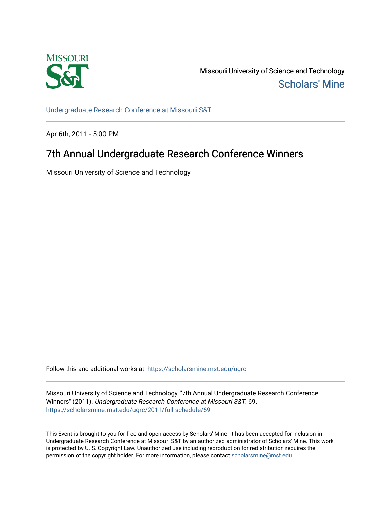

Missouri University of Science and Technology [Scholars' Mine](https://scholarsmine.mst.edu/) 

[Undergraduate Research Conference at Missouri S&T](https://scholarsmine.mst.edu/ugrc)

Apr 6th, 2011 - 5:00 PM

# 7th Annual Undergraduate Research Conference Winners

Missouri University of Science and Technology

Follow this and additional works at: [https://scholarsmine.mst.edu/ugrc](https://scholarsmine.mst.edu/ugrc?utm_source=scholarsmine.mst.edu%2Fugrc%2F2011%2Ffull-schedule%2F69&utm_medium=PDF&utm_campaign=PDFCoverPages) 

Missouri University of Science and Technology, "7th Annual Undergraduate Research Conference Winners" (2011). Undergraduate Research Conference at Missouri S&T. 69. [https://scholarsmine.mst.edu/ugrc/2011/full-schedule/69](https://scholarsmine.mst.edu/ugrc/2011/full-schedule/69?utm_source=scholarsmine.mst.edu%2Fugrc%2F2011%2Ffull-schedule%2F69&utm_medium=PDF&utm_campaign=PDFCoverPages) 

This Event is brought to you for free and open access by Scholars' Mine. It has been accepted for inclusion in Undergraduate Research Conference at Missouri S&T by an authorized administrator of Scholars' Mine. This work is protected by U. S. Copyright Law. Unauthorized use including reproduction for redistribution requires the permission of the copyright holder. For more information, please contact [scholarsmine@mst.edu](mailto:scholarsmine@mst.edu).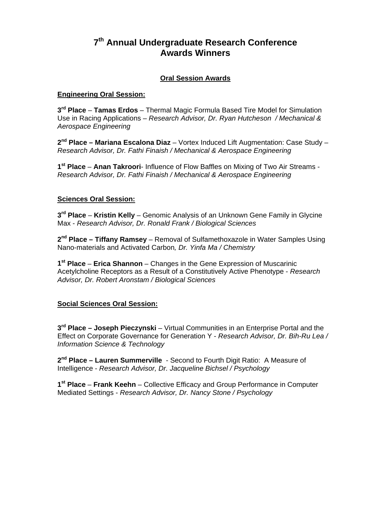## **7th Annual Undergraduate Research Conference Awards Winners**

## **Oral Session Awards**

## **Engineering Oral Session:**

**3rd Place** – **Tamas Erdos** – Thermal Magic Formula Based Tire Model for Simulation Use in Racing Applications – *Research Advisor, Dr. Ryan Hutcheson / Mechanical & Aerospace Engineering* 

**2nd Place – Mariana Escalona Diaz** – Vortex Induced Lift Augmentation: Case Study – *Research Advisor, Dr. Fathi Finaish / Mechanical & Aerospace Engineering*

**1st Place** – **Anan Takroori**- Influence of Flow Baffles on Mixing of Two Air Streams - *Research Advisor, Dr. Fathi Finaish / Mechanical & Aerospace Engineering* 

## **Sciences Oral Session:**

**3rd Place** – **Kristin Kelly** – Genomic Analysis of an Unknown Gene Family in Glycine Max - *Research Advisor, Dr. Ronald Frank / Biological Sciences* 

**2nd Place – Tiffany Ramsey** – Removal of Sulfamethoxazole in Water Samples Using Nano-materials and Activated Carbon*, Dr. Yinfa Ma / Chemistry* 

**1st Place** – **Erica Shannon** – Changes in the Gene Expression of Muscarinic Acetylcholine Receptors as a Result of a Constitutively Active Phenotype - *Research Advisor, Dr. Robert Aronstam / Biological Sciences* 

## **Social Sciences Oral Session:**

**3rd Place – Joseph Pieczynski** – Virtual Communities in an Enterprise Portal and the Effect on Corporate Governance for Generation Y - *Research Advisor, Dr. Bih-Ru Lea / Information Science & Technology* 

**2nd Place – Lauren Summerville** - Second to Fourth Digit Ratio: A Measure of Intelligence - *Research Advisor, Dr. Jacqueline Bichsel / Psychology* 

**1st Place** – **Frank Keehn** – Collective Efficacy and Group Performance in Computer Mediated Settings - *Research Advisor, Dr. Nancy Stone / Psychology*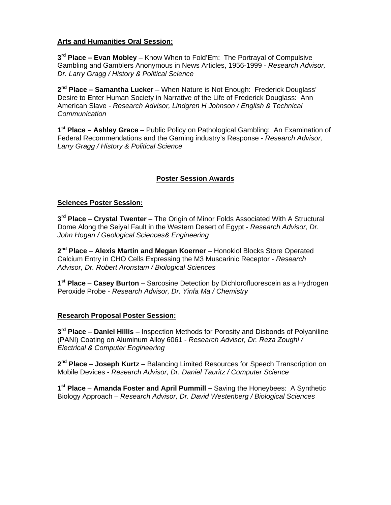## **Arts and Humanities Oral Session:**

**3rd Place – Evan Mobley** – Know When to Fold'Em: The Portrayal of Compulsive Gambling and Gamblers Anonymous in News Articles, 1956-1999 - *Research Advisor, Dr. Larry Gragg / History & Political Science* 

**2nd Place – Samantha Lucker** – When Nature is Not Enough: Frederick Douglass' Desire to Enter Human Society in Narrative of the Life of Frederick Douglass: Ann American Slave - *Research Advisor, Lindgren H Johnson / English & Technical Communication* 

**1st Place – Ashley Grace** – Public Policy on Pathological Gambling: An Examination of Federal Recommendations and the Gaming industry's Response - *Research Advisor, Larry Gragg / History & Political Science* 

## **Poster Session Awards**

#### **Sciences Poster Session:**

**3rd Place** – **Crystal Twenter** – The Origin of Minor Folds Associated With A Structural Dome Along the Seiyal Fault in the Western Desert of Egypt - *Research Advisor, Dr. John Hogan / Geological Sciences& Engineering*

**2nd Place** – **Alexis Martin and Megan Koerner –** Honokiol Blocks Store Operated Calcium Entry in CHO Cells Expressing the M3 Muscarinic Receptor - *Research Advisor, Dr. Robert Aronstam / Biological Sciences*

**1st Place** – **Casey Burton** – Sarcosine Detection by Dichlorofluorescein as a Hydrogen Peroxide Probe - *Research Advisor, Dr. Yinfa Ma / Chemistry*

#### **Research Proposal Poster Session:**

**3rd Place** – **Daniel Hillis** – Inspection Methods for Porosity and Disbonds of Polyaniline (PANI) Coating on Aluminum Alloy 6061 - *Research Advisor, Dr. Reza Zoughi / Electrical & Computer Engineering* 

**2nd Place** – **Joseph Kurtz** – Balancing Limited Resources for Speech Transcription on Mobile Devices - *Research Advisor, Dr. Daniel Tauritz / Computer Science* 

**1st Place** – **Amanda Foster and April Pummill –** Saving the Honeybees: A Synthetic Biology Approach – *Research Advisor, Dr. David Westenberg / Biological Sciences*